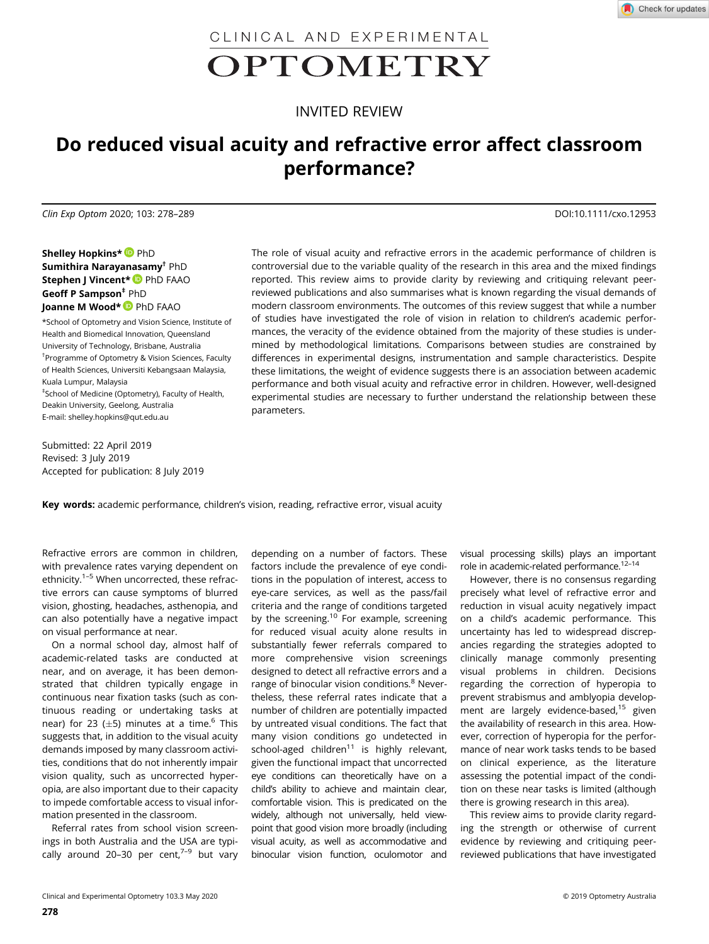CLINICAL AND EXPERIMENTAL

# OPTOMETRY

# INVITED REVIEW

# Do reduced visual acuity and refractive error affect classroom performance?

Clin Exp Optom 2020; 103: 278–289 DOI:10.1111/cxo.12953

Shelley Hopkins\* PhD Sumithira Narayanasamy† PhD Stephen J Vincent\* P PhD FAAO Geoff P Sampson<sup>#</sup> PhD Joanne M Wood\* PhD FAAO

\*School of Optometry and Vision Science, Institute of Health and Biomedical Innovation, Queensland University of Technology, Brisbane, Australia † Programme of Optometry & Vision Sciences, Faculty of Health Sciences, Universiti Kebangsaan Malaysia, Kuala Lumpur, Malaysia ‡ School of Medicine (Optometry), Faculty of Health, Deakin University, Geelong, Australia

Submitted: 22 April 2019 Revised: 3 July 2019 Accepted for publication: 8 July 2019

E-mail: [shelley.hopkins@qut.edu.au](mailto:shelley.hopkins@qut.edu.au)

The role of visual acuity and refractive errors in the academic performance of children is controversial due to the variable quality of the research in this area and the mixed findings reported. This review aims to provide clarity by reviewing and critiquing relevant peerreviewed publications and also summarises what is known regarding the visual demands of modern classroom environments. The outcomes of this review suggest that while a number of studies have investigated the role of vision in relation to children's academic performances, the veracity of the evidence obtained from the majority of these studies is undermined by methodological limitations. Comparisons between studies are constrained by differences in experimental designs, instrumentation and sample characteristics. Despite these limitations, the weight of evidence suggests there is an association between academic performance and both visual acuity and refractive error in children. However, well-designed experimental studies are necessary to further understand the relationship between these parameters.

Key words: academic performance, children's vision, reading, refractive error, visual acuity

Refractive errors are common in children, with prevalence rates varying dependent on ethnicity.<sup>1-5</sup> When uncorrected, these refractive errors can cause symptoms of blurred vision, ghosting, headaches, asthenopia, and can also potentially have a negative impact on visual performance at near.

On a normal school day, almost half of academic-related tasks are conducted at near, and on average, it has been demonstrated that children typically engage in continuous near fixation tasks (such as continuous reading or undertaking tasks at near) for 23 ( $\pm$ 5) minutes at a time.<sup>6</sup> This suggests that, in addition to the visual acuity demands imposed by many classroom activities, conditions that do not inherently impair vision quality, such as uncorrected hyperopia, are also important due to their capacity to impede comfortable access to visual information presented in the classroom.

Referral rates from school vision screenings in both Australia and the USA are typically around 20-30 per cent, $7-9$  but vary

depending on a number of factors. These factors include the prevalence of eye conditions in the population of interest, access to eye-care services, as well as the pass/fail criteria and the range of conditions targeted by the screening.<sup>10</sup> For example, screening for reduced visual acuity alone results in substantially fewer referrals compared to more comprehensive vision screenings designed to detect all refractive errors and a range of binocular vision conditions.<sup>8</sup> Nevertheless, these referral rates indicate that a number of children are potentially impacted by untreated visual conditions. The fact that many vision conditions go undetected in school-aged children $11$  is highly relevant, given the functional impact that uncorrected eye conditions can theoretically have on a child's ability to achieve and maintain clear, comfortable vision. This is predicated on the widely, although not universally, held viewpoint that good vision more broadly (including visual acuity, as well as accommodative and binocular vision function, oculomotor and

visual processing skills) plays an important role in academic-related performance.<sup>12-14</sup>

However, there is no consensus regarding precisely what level of refractive error and reduction in visual acuity negatively impact on a child's academic performance. This uncertainty has led to widespread discrepancies regarding the strategies adopted to clinically manage commonly presenting visual problems in children. Decisions regarding the correction of hyperopia to prevent strabismus and amblyopia development are largely evidence-based,<sup>15</sup> given the availability of research in this area. However, correction of hyperopia for the performance of near work tasks tends to be based on clinical experience, as the literature assessing the potential impact of the condition on these near tasks is limited (although there is growing research in this area).

This review aims to provide clarity regarding the strength or otherwise of current evidence by reviewing and critiquing peerreviewed publications that have investigated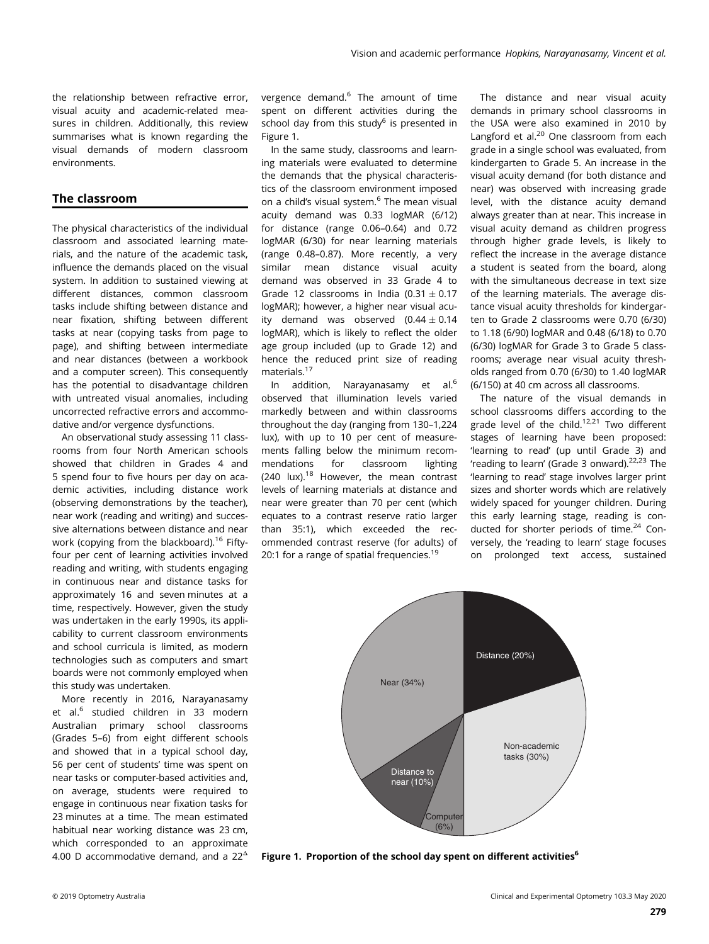the relationship between refractive error, visual acuity and academic-related measures in children. Additionally, this review summarises what is known regarding the visual demands of modern classroom environments.

# The classroom

The physical characteristics of the individual classroom and associated learning materials, and the nature of the academic task, influence the demands placed on the visual system. In addition to sustained viewing at different distances, common classroom tasks include shifting between distance and near fixation, shifting between different tasks at near (copying tasks from page to page), and shifting between intermediate and near distances (between a workbook and a computer screen). This consequently has the potential to disadvantage children with untreated visual anomalies, including uncorrected refractive errors and accommodative and/or vergence dysfunctions.

An observational study assessing 11 classrooms from four North American schools showed that children in Grades 4 and 5 spend four to five hours per day on academic activities, including distance work (observing demonstrations by the teacher), near work (reading and writing) and successive alternations between distance and near work (copying from the blackboard).<sup>16</sup> Fiftyfour per cent of learning activities involved reading and writing, with students engaging in continuous near and distance tasks for approximately 16 and seven minutes at a time, respectively. However, given the study was undertaken in the early 1990s, its applicability to current classroom environments and school curricula is limited, as modern technologies such as computers and smart boards were not commonly employed when this study was undertaken.

More recently in 2016, Narayanasamy et al.<sup>6</sup> studied children in 33 modern Australian primary school classrooms (Grades 5–6) from eight different schools and showed that in a typical school day, 56 per cent of students' time was spent on near tasks or computer-based activities and, on average, students were required to engage in continuous near fixation tasks for 23 minutes at a time. The mean estimated habitual near working distance was 23 cm, which corresponded to an approximate 4.00 D accommodative demand, and a  $22<sup>4</sup>$ 

vergence demand.<sup>6</sup> The amount of time spent on different activities during the school day from this study $6$  is presented in Figure 1.

In the same study, classrooms and learning materials were evaluated to determine the demands that the physical characteristics of the classroom environment imposed on a child's visual system.<sup>6</sup> The mean visual acuity demand was 0.33 logMAR (6/12) for distance (range 0.06–0.64) and 0.72 logMAR (6/30) for near learning materials (range 0.48–0.87). More recently, a very similar mean distance visual acuity demand was observed in 33 Grade 4 to Grade 12 classrooms in India  $(0.31 \pm 0.17)$ logMAR); however, a higher near visual acuity demand was observed  $(0.44 \pm 0.14)$ logMAR), which is likely to reflect the older age group included (up to Grade 12) and hence the reduced print size of reading materials.<sup>17</sup>

In addition, Narayanasamy et al.<sup>6</sup> observed that illumination levels varied markedly between and within classrooms throughout the day (ranging from 130–1,224 lux), with up to 10 per cent of measurements falling below the minimum recommendations for classroom lighting  $(240 \text{lux}).^{18}$  However, the mean contrast levels of learning materials at distance and near were greater than 70 per cent (which equates to a contrast reserve ratio larger than 35:1), which exceeded the recommended contrast reserve (for adults) of 20:1 for a range of spatial frequencies.<sup>19</sup>

The distance and near visual acuity demands in primary school classrooms in the USA were also examined in 2010 by Langford et al.<sup>20</sup> One classroom from each grade in a single school was evaluated, from kindergarten to Grade 5. An increase in the visual acuity demand (for both distance and near) was observed with increasing grade level, with the distance acuity demand always greater than at near. This increase in visual acuity demand as children progress through higher grade levels, is likely to reflect the increase in the average distance a student is seated from the board, along with the simultaneous decrease in text size of the learning materials. The average distance visual acuity thresholds for kindergarten to Grade 2 classrooms were 0.70 (6/30) to 1.18 (6/90) logMAR and 0.48 (6/18) to 0.70 (6/30) logMAR for Grade 3 to Grade 5 classrooms; average near visual acuity thresholds ranged from 0.70 (6/30) to 1.40 logMAR (6/150) at 40 cm across all classrooms.

The nature of the visual demands in school classrooms differs according to the grade level of the child.<sup>12,21</sup> Two different stages of learning have been proposed: 'learning to read' (up until Grade 3) and 'reading to learn' (Grade 3 onward). $22,23$  The 'learning to read' stage involves larger print sizes and shorter words which are relatively widely spaced for younger children. During this early learning stage, reading is conducted for shorter periods of time.<sup>24</sup> Conversely, the 'reading to learn' stage focuses on prolonged text access, sustained



Figure 1. Proportion of the school day spent on different activities<sup>6</sup>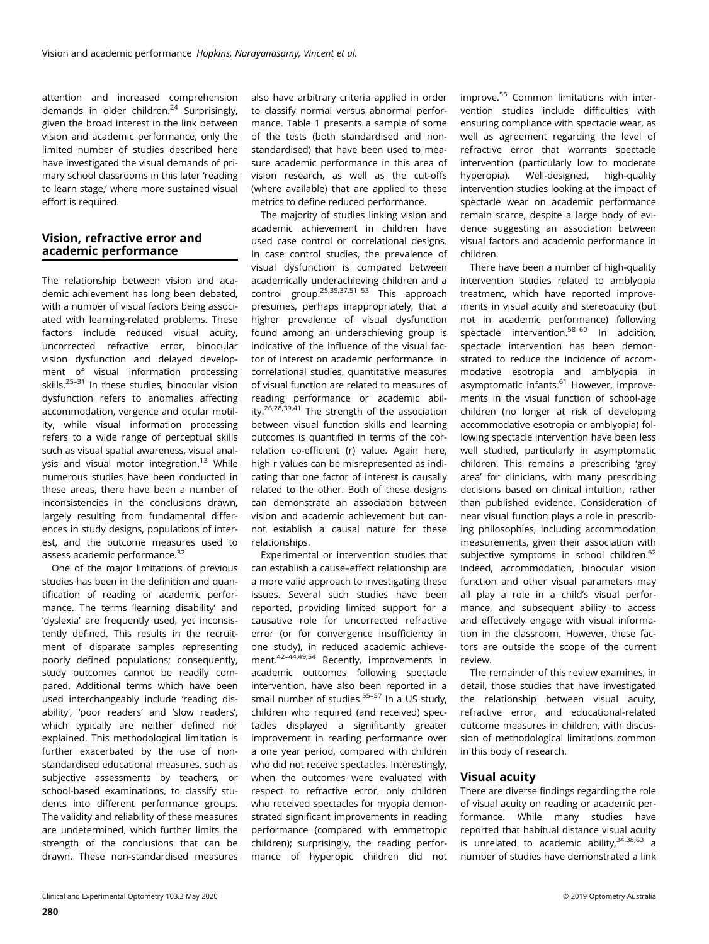attention and increased comprehension demands in older children.<sup>24</sup> Surprisingly, given the broad interest in the link between vision and academic performance, only the limited number of studies described here have investigated the visual demands of primary school classrooms in this later 'reading to learn stage,' where more sustained visual effort is required.

# Vision, refractive error and academic performance

The relationship between vision and academic achievement has long been debated, with a number of visual factors being associated with learning-related problems. These factors include reduced visual acuity, uncorrected refractive error, binocular vision dysfunction and delayed development of visual information processing skills.<sup>25-31</sup> In these studies, binocular vision dysfunction refers to anomalies affecting accommodation, vergence and ocular motility, while visual information processing refers to a wide range of perceptual skills such as visual spatial awareness, visual analysis and visual motor integration.<sup>13</sup> While numerous studies have been conducted in these areas, there have been a number of inconsistencies in the conclusions drawn, largely resulting from fundamental differences in study designs, populations of interest, and the outcome measures used to assess academic performance.<sup>32</sup>

One of the major limitations of previous studies has been in the definition and quantification of reading or academic performance. The terms 'learning disability' and 'dyslexia' are frequently used, yet inconsistently defined. This results in the recruitment of disparate samples representing poorly defined populations; consequently, study outcomes cannot be readily compared. Additional terms which have been used interchangeably include 'reading disability', 'poor readers' and 'slow readers', which typically are neither defined nor explained. This methodological limitation is further exacerbated by the use of nonstandardised educational measures, such as subjective assessments by teachers, or school-based examinations, to classify students into different performance groups. The validity and reliability of these measures are undetermined, which further limits the strength of the conclusions that can be drawn. These non-standardised measures

also have arbitrary criteria applied in order to classify normal versus abnormal performance. Table 1 presents a sample of some of the tests (both standardised and nonstandardised) that have been used to measure academic performance in this area of vision research, as well as the cut-offs (where available) that are applied to these metrics to define reduced performance.

The majority of studies linking vision and academic achievement in children have used case control or correlational designs. In case control studies, the prevalence of visual dysfunction is compared between academically underachieving children and a control group.25,35,37,51–<sup>53</sup> This approach presumes, perhaps inappropriately, that a higher prevalence of visual dysfunction found among an underachieving group is indicative of the influence of the visual factor of interest on academic performance. In correlational studies, quantitative measures of visual function are related to measures of reading performance or academic ability.26,28,39,41 The strength of the association between visual function skills and learning outcomes is quantified in terms of the correlation co-efficient (r) value. Again here, high r values can be misrepresented as indicating that one factor of interest is causally related to the other. Both of these designs can demonstrate an association between vision and academic achievement but cannot establish a causal nature for these relationships.

Experimental or intervention studies that can establish a cause–effect relationship are a more valid approach to investigating these issues. Several such studies have been reported, providing limited support for a causative role for uncorrected refractive error (or for convergence insufficiency in one study), in reduced academic achievement.42–44,49,54 Recently, improvements in academic outcomes following spectacle intervention, have also been reported in a small number of studies.<sup>55–57</sup> In a US study. children who required (and received) spectacles displayed a significantly greater improvement in reading performance over a one year period, compared with children who did not receive spectacles. Interestingly, when the outcomes were evaluated with respect to refractive error, only children who received spectacles for myopia demonstrated significant improvements in reading performance (compared with emmetropic children); surprisingly, the reading performance of hyperopic children did not improve.55 Common limitations with intervention studies include difficulties with ensuring compliance with spectacle wear, as well as agreement regarding the level of refractive error that warrants spectacle intervention (particularly low to moderate hyperopia). Well-designed, high-quality intervention studies looking at the impact of spectacle wear on academic performance remain scarce, despite a large body of evidence suggesting an association between visual factors and academic performance in children.

There have been a number of high-quality intervention studies related to amblyopia treatment, which have reported improvements in visual acuity and stereoacuity (but not in academic performance) following spectacle intervention.58–<sup>60</sup> In addition, spectacle intervention has been demonstrated to reduce the incidence of accommodative esotropia and amblyopia in asymptomatic infants.<sup>61</sup> However, improvements in the visual function of school-age children (no longer at risk of developing accommodative esotropia or amblyopia) following spectacle intervention have been less well studied, particularly in asymptomatic children. This remains a prescribing 'grey area' for clinicians, with many prescribing decisions based on clinical intuition, rather than published evidence. Consideration of near visual function plays a role in prescribing philosophies, including accommodation measurements, given their association with subjective symptoms in school children.<sup>62</sup> Indeed, accommodation, binocular vision function and other visual parameters may all play a role in a child's visual performance, and subsequent ability to access and effectively engage with visual information in the classroom. However, these factors are outside the scope of the current review.

The remainder of this review examines, in detail, those studies that have investigated the relationship between visual acuity, refractive error, and educational-related outcome measures in children, with discussion of methodological limitations common in this body of research.

# Visual acuity

There are diverse findings regarding the role of visual acuity on reading or academic performance. While many studies have reported that habitual distance visual acuity is unrelated to academic ability, $34,38,63$  a number of studies have demonstrated a link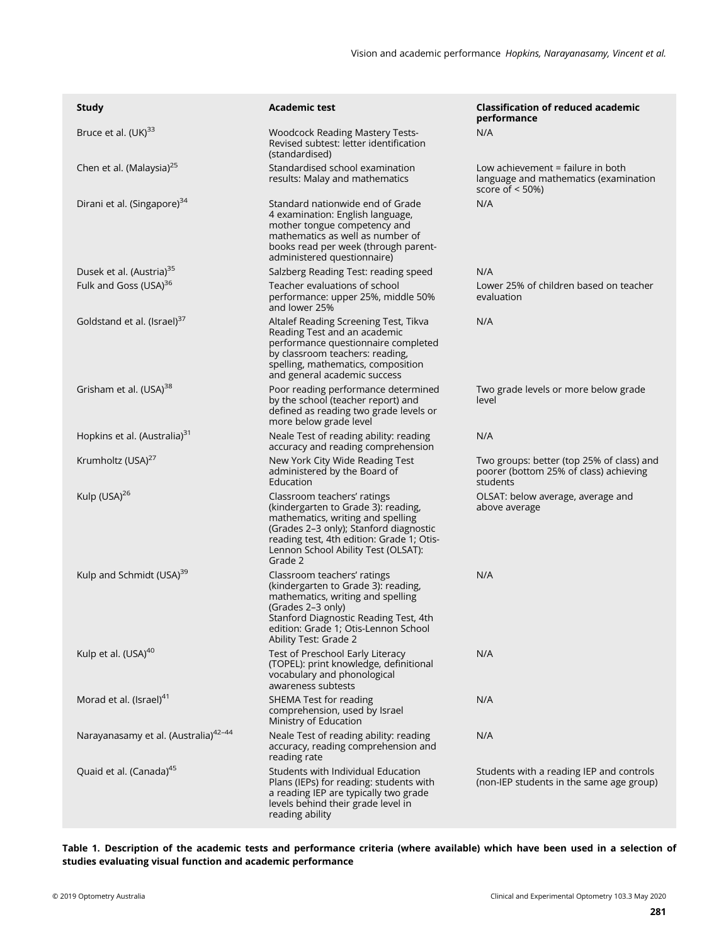| <b>Study</b>                                     | <b>Academic test</b>                                                                                                                                                                                                                             | <b>Classification of reduced academic</b><br>performance                                        |
|--------------------------------------------------|--------------------------------------------------------------------------------------------------------------------------------------------------------------------------------------------------------------------------------------------------|-------------------------------------------------------------------------------------------------|
| Bruce et al. (UK) <sup>33</sup>                  | <b>Woodcock Reading Mastery Tests-</b><br>Revised subtest: letter identification<br>(standardised)                                                                                                                                               | N/A                                                                                             |
| Chen et al. (Malaysia) <sup>25</sup>             | Standardised school examination<br>results: Malay and mathematics                                                                                                                                                                                | Low achievement = failure in both<br>language and mathematics (examination<br>score of $<$ 50%) |
| Dirani et al. (Singapore) <sup>34</sup>          | Standard nationwide end of Grade<br>4 examination: English language,<br>mother tongue competency and<br>mathematics as well as number of<br>books read per week (through parent-<br>administered questionnaire)                                  | N/A                                                                                             |
| Dusek et al. (Austria) <sup>35</sup>             | Salzberg Reading Test: reading speed                                                                                                                                                                                                             | N/A                                                                                             |
| Fulk and Goss (USA) <sup>36</sup>                | Teacher evaluations of school<br>performance: upper 25%, middle 50%<br>and lower 25%                                                                                                                                                             | Lower 25% of children based on teacher<br>evaluation                                            |
| Goldstand et al. (Israel) <sup>37</sup>          | Altalef Reading Screening Test, Tikva<br>Reading Test and an academic<br>performance questionnaire completed<br>by classroom teachers: reading,<br>spelling, mathematics, composition<br>and general academic success                            | N/A                                                                                             |
| Grisham et al. (USA) <sup>38</sup>               | Poor reading performance determined<br>by the school (teacher report) and<br>defined as reading two grade levels or<br>more below grade level                                                                                                    | Two grade levels or more below grade<br>level                                                   |
| Hopkins et al. (Australia) <sup>31</sup>         | Neale Test of reading ability: reading<br>accuracy and reading comprehension                                                                                                                                                                     | N/A                                                                                             |
| Krumholtz (USA) <sup>27</sup>                    | New York City Wide Reading Test<br>administered by the Board of<br>Education                                                                                                                                                                     | Two groups: better (top 25% of class) and<br>poorer (bottom 25% of class) achieving<br>students |
| Kulp (USA) <sup>26</sup>                         | Classroom teachers' ratings<br>(kindergarten to Grade 3): reading,<br>mathematics, writing and spelling<br>(Grades 2–3 only); Stanford diagnostic<br>reading test, 4th edition: Grade 1; Otis-<br>Lennon School Ability Test (OLSAT):<br>Grade 2 | OLSAT: below average, average and<br>above average                                              |
| Kulp and Schmidt (USA) <sup>39</sup>             | Classroom teachers' ratings<br>(kindergarten to Grade 3): reading,<br>mathematics, writing and spelling<br>(Grades 2-3 only)<br>Stanford Diagnostic Reading Test, 4th<br>edition: Grade 1; Otis-Lennon School<br>Ability Test: Grade 2           | N/A                                                                                             |
| Kulp et al. (USA) <sup>40</sup>                  | Test of Preschool Early Literacy<br>(TOPEL): print knowledge, definitional<br>vocabulary and phonological<br>awareness subtests                                                                                                                  | N/A                                                                                             |
| Morad et al. (Israel) <sup>41</sup>              | SHEMA Test for reading<br>comprehension, used by Israel<br>Ministry of Education                                                                                                                                                                 | N/A                                                                                             |
| Narayanasamy et al. (Australia) <sup>42-44</sup> | Neale Test of reading ability: reading<br>accuracy, reading comprehension and<br>reading rate                                                                                                                                                    | N/A                                                                                             |
| Quaid et al. (Canada) <sup>45</sup>              | Students with Individual Education<br>Plans (IEPs) for reading: students with<br>a reading IEP are typically two grade<br>levels behind their grade level in<br>reading ability                                                                  | Students with a reading IEP and controls<br>(non-IEP students in the same age group)            |

Table 1. Description of the academic tests and performance criteria (where available) which have been used in a selection of studies evaluating visual function and academic performance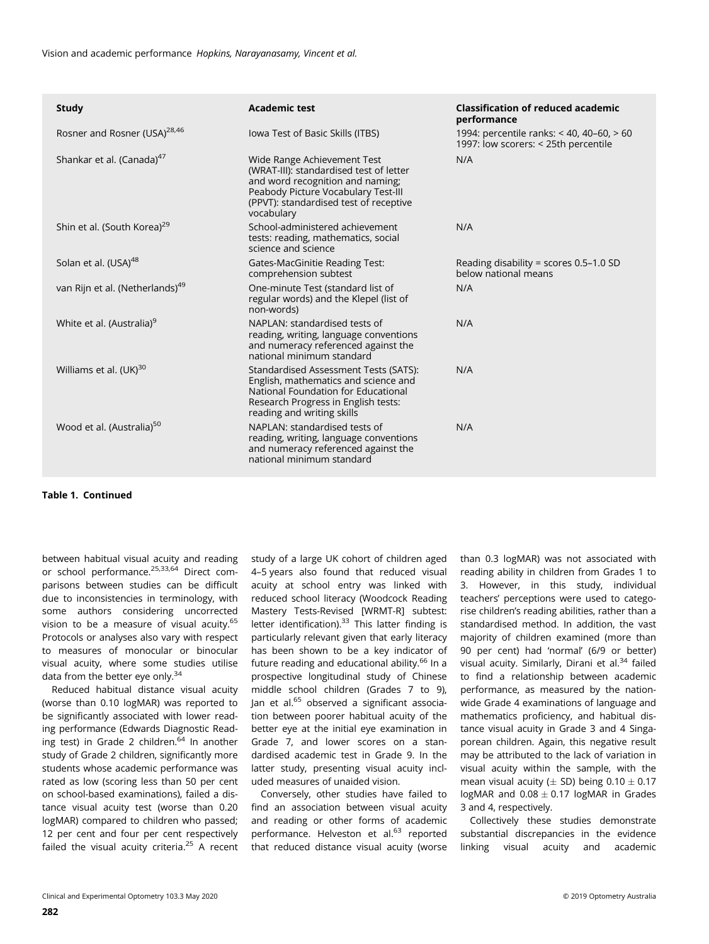| <b>Study</b>                                | <b>Academic test</b>                                                                                                                                                                                      | <b>Classification of reduced academic</b><br>performance                          |
|---------------------------------------------|-----------------------------------------------------------------------------------------------------------------------------------------------------------------------------------------------------------|-----------------------------------------------------------------------------------|
| Rosner and Rosner (USA) <sup>28,46</sup>    | lowa Test of Basic Skills (ITBS)                                                                                                                                                                          | 1994: percentile ranks: < 40, 40-60, > 60<br>1997: low scorers: < 25th percentile |
| Shankar et al. (Canada) <sup>4/</sup>       | Wide Range Achievement Test<br>(WRAT-III): standardised test of letter<br>and word recognition and naming;<br>Peabody Picture Vocabulary Test-III<br>(PPVT): standardised test of receptive<br>vocabulary | N/A                                                                               |
| Shin et al. (South Korea) <sup>29</sup>     | School-administered achievement<br>tests: reading, mathematics, social<br>science and science                                                                                                             | N/A                                                                               |
| Solan et al. (USA) <sup>48</sup>            | Gates-MacGinitie Reading Test:<br>comprehension subtest                                                                                                                                                   | Reading disability = scores $0.5-1.0$ SD<br>below national means                  |
| van Rijn et al. (Netherlands) <sup>49</sup> | One-minute Test (standard list of<br>regular words) and the Klepel (list of<br>non-words)                                                                                                                 | N/A                                                                               |
| White et al. (Australia) <sup>9</sup>       | NAPLAN: standardised tests of<br>reading, writing, language conventions<br>and numeracy referenced against the<br>national minimum standard                                                               | N/A                                                                               |
| Williams et al. (UK) <sup>30</sup>          | Standardised Assessment Tests (SATS):<br>English, mathematics and science and<br>National Foundation for Educational<br>Research Progress in English tests:<br>reading and writing skills                 | N/A                                                                               |
| Wood et al. (Australia) <sup>50</sup>       | NAPLAN: standardised tests of<br>reading, writing, language conventions<br>and numeracy referenced against the<br>national minimum standard                                                               | N/A                                                                               |

## Table 1. Continued

between habitual visual acuity and reading or school performance.<sup>25,33,64</sup> Direct comparisons between studies can be difficult due to inconsistencies in terminology, with some authors considering uncorrected vision to be a measure of visual acuity.<sup>65</sup> Protocols or analyses also vary with respect to measures of monocular or binocular visual acuity, where some studies utilise data from the better eye only. $34$ 

Reduced habitual distance visual acuity (worse than 0.10 logMAR) was reported to be significantly associated with lower reading performance (Edwards Diagnostic Reading test) in Grade 2 children.<sup>64</sup> In another study of Grade 2 children, significantly more students whose academic performance was rated as low (scoring less than 50 per cent on school-based examinations), failed a distance visual acuity test (worse than 0.20 logMAR) compared to children who passed; 12 per cent and four per cent respectively failed the visual acuity criteria. $25$  A recent study of a large UK cohort of children aged 4–5 years also found that reduced visual acuity at school entry was linked with reduced school literacy (Woodcock Reading Mastery Tests-Revised [WRMT-R] subtest: letter identification). $33$  This latter finding is particularly relevant given that early literacy has been shown to be a key indicator of future reading and educational ability.<sup>66</sup> In a prospective longitudinal study of Chinese middle school children (Grades 7 to 9), Jan et al.<sup>65</sup> observed a significant association between poorer habitual acuity of the better eye at the initial eye examination in Grade 7, and lower scores on a standardised academic test in Grade 9. In the latter study, presenting visual acuity included measures of unaided vision.

Conversely, other studies have failed to find an association between visual acuity and reading or other forms of academic performance. Helveston et al.<sup>63</sup> reported that reduced distance visual acuity (worse

than 0.3 logMAR) was not associated with reading ability in children from Grades 1 to 3. However, in this study, individual teachers' perceptions were used to categorise children's reading abilities, rather than a standardised method. In addition, the vast majority of children examined (more than 90 per cent) had 'normal' (6/9 or better) visual acuity. Similarly, Dirani et al.<sup>34</sup> failed to find a relationship between academic performance, as measured by the nationwide Grade 4 examinations of language and mathematics proficiency, and habitual distance visual acuity in Grade 3 and 4 Singaporean children. Again, this negative result may be attributed to the lack of variation in visual acuity within the sample, with the mean visual acuity ( $\pm$  SD) being 0.10  $\pm$  0.17 logMAR and  $0.08 \pm 0.17$  logMAR in Grades 3 and 4, respectively.

Collectively these studies demonstrate substantial discrepancies in the evidence linking visual acuity and academic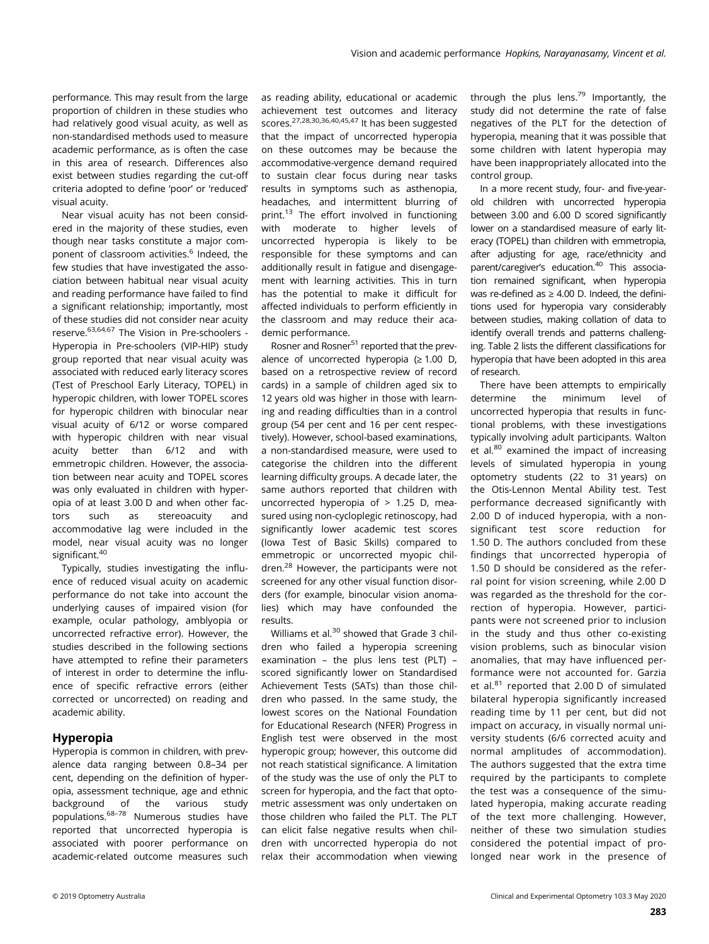performance. This may result from the large proportion of children in these studies who had relatively good visual acuity, as well as non-standardised methods used to measure academic performance, as is often the case in this area of research. Differences also exist between studies regarding the cut-off criteria adopted to define 'poor' or 'reduced' visual acuity.

Near visual acuity has not been considered in the majority of these studies, even though near tasks constitute a major component of classroom activities.<sup>6</sup> Indeed, the few studies that have investigated the association between habitual near visual acuity and reading performance have failed to find a significant relationship; importantly, most of these studies did not consider near acuity reserve.63,64,67 The Vision in Pre-schoolers - Hyperopia in Pre-schoolers (VIP-HIP) study group reported that near visual acuity was associated with reduced early literacy scores (Test of Preschool Early Literacy, TOPEL) in hyperopic children, with lower TOPEL scores for hyperopic children with binocular near visual acuity of 6/12 or worse compared with hyperopic children with near visual acuity better than 6/12 and with emmetropic children. However, the association between near acuity and TOPEL scores was only evaluated in children with hyperopia of at least 3.00 D and when other factors such as stereoacuity and accommodative lag were included in the model, near visual acuity was no longer significant.<sup>40</sup>

Typically, studies investigating the influence of reduced visual acuity on academic performance do not take into account the underlying causes of impaired vision (for example, ocular pathology, amblyopia or uncorrected refractive error). However, the studies described in the following sections have attempted to refine their parameters of interest in order to determine the influence of specific refractive errors (either corrected or uncorrected) on reading and academic ability.

# Hyperopia

Hyperopia is common in children, with prevalence data ranging between 0.8–34 per cent, depending on the definition of hyperopia, assessment technique, age and ethnic background of the various study populations.68–<sup>78</sup> Numerous studies have reported that uncorrected hyperopia is associated with poorer performance on academic-related outcome measures such

as reading ability, educational or academic achievement test outcomes and literacy scores.<sup>27,28,30,36,40,45,47</sup> It has been suggested that the impact of uncorrected hyperopia on these outcomes may be because the accommodative-vergence demand required to sustain clear focus during near tasks results in symptoms such as asthenopia, headaches, and intermittent blurring of print.<sup>13</sup> The effort involved in functioning with moderate to higher levels of uncorrected hyperopia is likely to be responsible for these symptoms and can additionally result in fatigue and disengagement with learning activities. This in turn has the potential to make it difficult for affected individuals to perform efficiently in the classroom and may reduce their academic performance.

Rosner and Rosner<sup>51</sup> reported that the prevalence of uncorrected hyperopia ( $\geq 1.00$  D, based on a retrospective review of record cards) in a sample of children aged six to 12 years old was higher in those with learning and reading difficulties than in a control group (54 per cent and 16 per cent respectively). However, school-based examinations, a non-standardised measure, were used to categorise the children into the different learning difficulty groups. A decade later, the same authors reported that children with uncorrected hyperopia of > 1.25 D, measured using non-cycloplegic retinoscopy, had significantly lower academic test scores (Iowa Test of Basic Skills) compared to emmetropic or uncorrected myopic children.<sup>28</sup> However, the participants were not screened for any other visual function disorders (for example, binocular vision anomalies) which may have confounded the results.

Williams et al.<sup>30</sup> showed that Grade 3 children who failed a hyperopia screening examination – the plus lens test (PLT) – scored significantly lower on Standardised Achievement Tests (SATs) than those children who passed. In the same study, the lowest scores on the National Foundation for Educational Research (NFER) Progress in English test were observed in the most hyperopic group; however, this outcome did not reach statistical significance. A limitation of the study was the use of only the PLT to screen for hyperopia, and the fact that optometric assessment was only undertaken on those children who failed the PLT. The PLT can elicit false negative results when children with uncorrected hyperopia do not relax their accommodation when viewing through the plus lens.<sup>79</sup> Importantly, the study did not determine the rate of false negatives of the PLT for the detection of hyperopia, meaning that it was possible that some children with latent hyperopia may have been inappropriately allocated into the control group.

In a more recent study, four- and five-yearold children with uncorrected hyperopia between 3.00 and 6.00 D scored significantly lower on a standardised measure of early literacy (TOPEL) than children with emmetropia, after adjusting for age, race/ethnicity and parent/caregiver's education.<sup>40</sup> This association remained significant, when hyperopia was re-defined as  $\geq 4.00$  D. Indeed, the definitions used for hyperopia vary considerably between studies, making collation of data to identify overall trends and patterns challenging. Table 2 lists the different classifications for hyperopia that have been adopted in this area of research.

There have been attempts to empirically determine the minimum level of uncorrected hyperopia that results in functional problems, with these investigations typically involving adult participants. Walton et al.<sup>80</sup> examined the impact of increasing levels of simulated hyperopia in young optometry students (22 to 31 years) on the Otis-Lennon Mental Ability test. Test performance decreased significantly with 2.00 D of induced hyperopia, with a nonsignificant test score reduction for 1.50 D. The authors concluded from these findings that uncorrected hyperopia of 1.50 D should be considered as the referral point for vision screening, while 2.00 D was regarded as the threshold for the correction of hyperopia. However, participants were not screened prior to inclusion in the study and thus other co-existing vision problems, such as binocular vision anomalies, that may have influenced performance were not accounted for. Garzia et al. $81$  reported that 2.00 D of simulated bilateral hyperopia significantly increased reading time by 11 per cent, but did not impact on accuracy, in visually normal university students (6/6 corrected acuity and normal amplitudes of accommodation). The authors suggested that the extra time required by the participants to complete the test was a consequence of the simulated hyperopia, making accurate reading of the text more challenging. However, neither of these two simulation studies considered the potential impact of prolonged near work in the presence of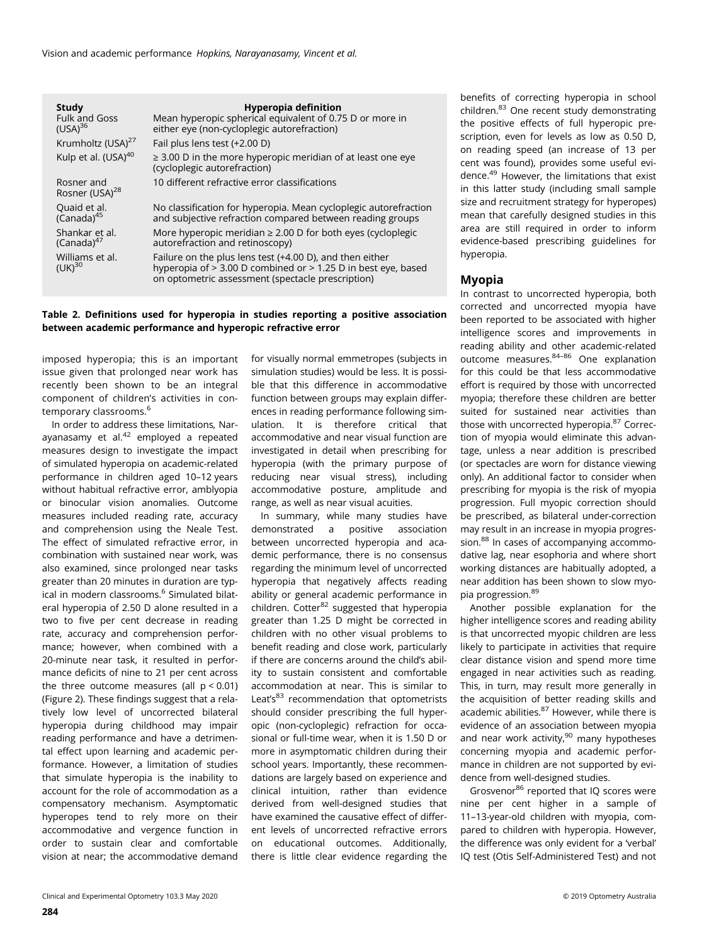Vision and academic performance Hopkins, Narayanasamy, Vincent et al.

| <b>Study</b><br><b>Fulk and Goss</b><br>(USA) <sup>36</sup> | <b>Hyperopia definition</b><br>Mean hyperopic spherical equivalent of 0.75 D or more in<br>either eye (non-cycloplegic autorefraction)                                         |
|-------------------------------------------------------------|--------------------------------------------------------------------------------------------------------------------------------------------------------------------------------|
| Krumholtz (USA) <sup>27</sup>                               | Fail plus lens test (+2.00 D)                                                                                                                                                  |
| Kulp et al. (USA) <sup>40</sup>                             | $\geq$ 3.00 D in the more hyperopic meridian of at least one eye<br>(cycloplegic autorefraction)                                                                               |
| Rosner and<br>Rosner (USA) <sup>28</sup>                    | 10 different refractive error classifications                                                                                                                                  |
| Quaid et al.<br>$(Canada)^{45}$                             | No classification for hyperopia. Mean cycloplegic autorefraction<br>and subjective refraction compared between reading groups                                                  |
| Shankar et al.<br>$(Canada)^{47}$                           | More hyperopic meridian $\geq 2.00$ D for both eyes (cycloplegic<br>autorefraction and retinoscopy)                                                                            |
| Williams et al.<br>$(UK)^{30}$                              | Failure on the plus lens test (+4.00 D), and then either<br>hyperopia of > 3.00 D combined or > 1.25 D in best eye, based<br>on optometric assessment (spectacle prescription) |

#### Table 2. Definitions used for hyperopia in studies reporting a positive association between academic performance and hyperopic refractive error

imposed hyperopia; this is an important issue given that prolonged near work has recently been shown to be an integral component of children's activities in contemporary classrooms.<sup>6</sup>

In order to address these limitations, Naravanasamy et al. $42$  employed a repeated measures design to investigate the impact of simulated hyperopia on academic-related performance in children aged 10–12 years without habitual refractive error, amblyopia or binocular vision anomalies. Outcome measures included reading rate, accuracy and comprehension using the Neale Test. The effect of simulated refractive error, in combination with sustained near work, was also examined, since prolonged near tasks greater than 20 minutes in duration are typical in modern classrooms.<sup>6</sup> Simulated bilateral hyperopia of 2.50 D alone resulted in a two to five per cent decrease in reading rate, accuracy and comprehension performance; however, when combined with a 20-minute near task, it resulted in performance deficits of nine to 21 per cent across the three outcome measures (all  $p < 0.01$ ) (Figure 2). These findings suggest that a relatively low level of uncorrected bilateral hyperopia during childhood may impair reading performance and have a detrimental effect upon learning and academic performance. However, a limitation of studies that simulate hyperopia is the inability to account for the role of accommodation as a compensatory mechanism. Asymptomatic hyperopes tend to rely more on their accommodative and vergence function in order to sustain clear and comfortable vision at near; the accommodative demand

for visually normal emmetropes (subjects in simulation studies) would be less. It is possible that this difference in accommodative function between groups may explain differences in reading performance following simulation. It is therefore critical that accommodative and near visual function are investigated in detail when prescribing for hyperopia (with the primary purpose of reducing near visual stress), including accommodative posture, amplitude and range, as well as near visual acuities.

In summary, while many studies have demonstrated a positive association between uncorrected hyperopia and academic performance, there is no consensus regarding the minimum level of uncorrected hyperopia that negatively affects reading ability or general academic performance in children. Cotter<sup>82</sup> suggested that hyperopia greater than 1.25 D might be corrected in children with no other visual problems to benefit reading and close work, particularly if there are concerns around the child's ability to sustain consistent and comfortable accommodation at near. This is similar to Leat's $83$  recommendation that optometrists should consider prescribing the full hyperopic (non-cycloplegic) refraction for occasional or full-time wear, when it is 1.50 D or more in asymptomatic children during their school years. Importantly, these recommendations are largely based on experience and clinical intuition, rather than evidence derived from well-designed studies that have examined the causative effect of different levels of uncorrected refractive errors on educational outcomes. Additionally, there is little clear evidence regarding the

benefits of correcting hyperopia in school children.<sup>83</sup> One recent study demonstrating the positive effects of full hyperopic prescription, even for levels as low as 0.50 D, on reading speed (an increase of 13 per cent was found), provides some useful evidence.49 However, the limitations that exist in this latter study (including small sample size and recruitment strategy for hyperopes) mean that carefully designed studies in this area are still required in order to inform evidence-based prescribing guidelines for hyperopia.

# Myopia

In contrast to uncorrected hyperopia, both corrected and uncorrected myopia have been reported to be associated with higher intelligence scores and improvements in reading ability and other academic-related outcome measures.84–<sup>86</sup> One explanation for this could be that less accommodative effort is required by those with uncorrected myopia; therefore these children are better suited for sustained near activities than those with uncorrected hyperopia.<sup>87</sup> Correction of myopia would eliminate this advantage, unless a near addition is prescribed (or spectacles are worn for distance viewing only). An additional factor to consider when prescribing for myopia is the risk of myopia progression. Full myopic correction should be prescribed, as bilateral under-correction may result in an increase in myopia progression.<sup>88</sup> In cases of accompanying accommodative lag, near esophoria and where short working distances are habitually adopted, a near addition has been shown to slow myopia progression.<sup>89</sup>

Another possible explanation for the higher intelligence scores and reading ability is that uncorrected myopic children are less likely to participate in activities that require clear distance vision and spend more time engaged in near activities such as reading. This, in turn, may result more generally in the acquisition of better reading skills and academic abilities.87 However, while there is evidence of an association between myopia and near work activity, $90$  many hypotheses concerning myopia and academic performance in children are not supported by evidence from well-designed studies.

Grosvenor<sup>86</sup> reported that IQ scores were nine per cent higher in a sample of 11–13-year-old children with myopia, compared to children with hyperopia. However, the difference was only evident for a 'verbal' IQ test (Otis Self-Administered Test) and not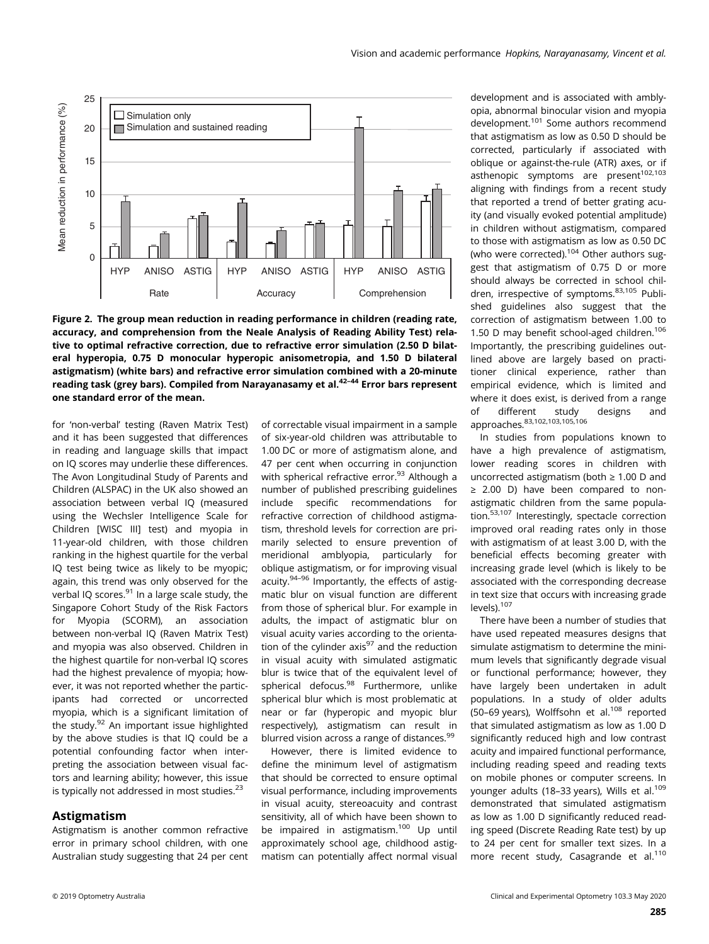

Figure 2. The group mean reduction in reading performance in children (reading rate, accuracy, and comprehension from the Neale Analysis of Reading Ability Test) relative to optimal refractive correction, due to refractive error simulation (2.50 D bilateral hyperopia, 0.75 D monocular hyperopic anisometropia, and 1.50 D bilateral astigmatism) (white bars) and refractive error simulation combined with a 20-minute reading task (grey bars). Compiled from Narayanasamy et al.<sup>42–44</sup> Error bars represent one standard error of the mean.

for 'non-verbal' testing (Raven Matrix Test) and it has been suggested that differences in reading and language skills that impact on IQ scores may underlie these differences. The Avon Longitudinal Study of Parents and Children (ALSPAC) in the UK also showed an association between verbal IQ (measured using the Wechsler Intelligence Scale for Children [WISC III] test) and myopia in 11-year-old children, with those children ranking in the highest quartile for the verbal IQ test being twice as likely to be myopic; again, this trend was only observed for the verbal IQ scores. $91$  In a large scale study, the Singapore Cohort Study of the Risk Factors for Myopia (SCORM), an association between non-verbal IQ (Raven Matrix Test) and myopia was also observed. Children in the highest quartile for non-verbal IQ scores had the highest prevalence of myopia; however, it was not reported whether the participants had corrected or uncorrected myopia, which is a significant limitation of the study.<sup>92</sup> An important issue highlighted by the above studies is that IQ could be a potential confounding factor when interpreting the association between visual factors and learning ability; however, this issue is typically not addressed in most studies.<sup>23</sup>

# Astigmatism

Astigmatism is another common refractive error in primary school children, with one Australian study suggesting that 24 per cent of correctable visual impairment in a sample of six-year-old children was attributable to 1.00 DC or more of astigmatism alone, and 47 per cent when occurring in conjunction with spherical refractive error.<sup>93</sup> Although a number of published prescribing guidelines include specific recommendations for refractive correction of childhood astigmatism, threshold levels for correction are primarily selected to ensure prevention of meridional amblyopia, particularly for oblique astigmatism, or for improving visual acuity.94–<sup>96</sup> Importantly, the effects of astigmatic blur on visual function are different from those of spherical blur. For example in adults, the impact of astigmatic blur on visual acuity varies according to the orientation of the cylinder  $axis<sup>97</sup>$  and the reduction in visual acuity with simulated astigmatic blur is twice that of the equivalent level of spherical defocus.<sup>98</sup> Furthermore, unlike spherical blur which is most problematic at near or far (hyperopic and myopic blur respectively), astigmatism can result in blurred vision across a range of distances.<sup>99</sup>

However, there is limited evidence to define the minimum level of astigmatism that should be corrected to ensure optimal visual performance, including improvements in visual acuity, stereoacuity and contrast sensitivity, all of which have been shown to be impaired in astigmatism.100 Up until approximately school age, childhood astigmatism can potentially affect normal visual development and is associated with amblyopia, abnormal binocular vision and myopia development.101 Some authors recommend that astigmatism as low as 0.50 D should be corrected, particularly if associated with oblique or against-the-rule (ATR) axes, or if asthenopic symptoms are present<sup>102,103</sup> aligning with findings from a recent study that reported a trend of better grating acuity (and visually evoked potential amplitude) in children without astigmatism, compared to those with astigmatism as low as 0.50 DC (who were corrected).<sup>104</sup> Other authors suggest that astigmatism of 0.75 D or more should always be corrected in school children, irrespective of symptoms.83,105 Published guidelines also suggest that the correction of astigmatism between 1.00 to 1.50 D may benefit school-aged children.<sup>106</sup> Importantly, the prescribing guidelines outlined above are largely based on practitioner clinical experience, rather than empirical evidence, which is limited and where it does exist, is derived from a range<br>of different study designs and of different study designs and approaches. 83,102,103,105,106

In studies from populations known to have a high prevalence of astigmatism, lower reading scores in children with uncorrected astigmatism (both ≥ 1.00 D and ≥ 2.00 D) have been compared to nonastigmatic children from the same population.53,107 Interestingly, spectacle correction improved oral reading rates only in those with astigmatism of at least 3.00 D, with the beneficial effects becoming greater with increasing grade level (which is likely to be associated with the corresponding decrease in text size that occurs with increasing grade levels).107

There have been a number of studies that have used repeated measures designs that simulate astigmatism to determine the minimum levels that significantly degrade visual or functional performance; however, they have largely been undertaken in adult populations. In a study of older adults (50–69 years), Wolffsohn et al.<sup>108</sup> reported that simulated astigmatism as low as 1.00 D significantly reduced high and low contrast acuity and impaired functional performance, including reading speed and reading texts on mobile phones or computer screens. In younger adults (18-33 years), Wills et al.<sup>109</sup> demonstrated that simulated astigmatism as low as 1.00 D significantly reduced reading speed (Discrete Reading Rate test) by up to 24 per cent for smaller text sizes. In a more recent study, Casagrande et al.<sup>110</sup>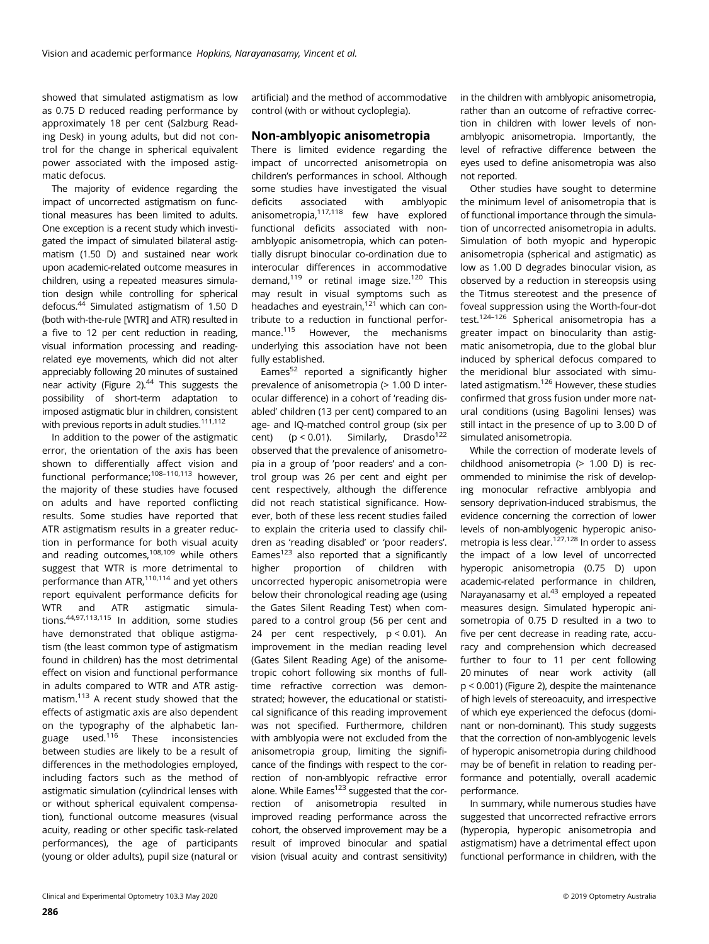showed that simulated astigmatism as low as 0.75 D reduced reading performance by approximately 18 per cent (Salzburg Reading Desk) in young adults, but did not control for the change in spherical equivalent power associated with the imposed astigmatic defocus.

The majority of evidence regarding the impact of uncorrected astigmatism on functional measures has been limited to adults. One exception is a recent study which investigated the impact of simulated bilateral astigmatism (1.50 D) and sustained near work upon academic-related outcome measures in children, using a repeated measures simulation design while controlling for spherical defocus.44 Simulated astigmatism of 1.50 D (both with-the-rule [WTR] and ATR) resulted in a five to 12 per cent reduction in reading, visual information processing and readingrelated eye movements, which did not alter appreciably following 20 minutes of sustained near activity (Figure 2).<sup>44</sup> This suggests the possibility of short-term adaptation to imposed astigmatic blur in children, consistent with previous reports in adult studies.<sup>111,112</sup>

In addition to the power of the astigmatic error, the orientation of the axis has been shown to differentially affect vision and functional performance;108–110,113 however, the majority of these studies have focused on adults and have reported conflicting results. Some studies have reported that ATR astigmatism results in a greater reduction in performance for both visual acuity and reading outcomes,<sup>108,109</sup> while others suggest that WTR is more detrimental to performance than ATR,<sup>110,114</sup> and yet others report equivalent performance deficits for WTR and ATR astigmatic simulations.44,97,113,115 In addition, some studies have demonstrated that oblique astigmatism (the least common type of astigmatism found in children) has the most detrimental effect on vision and functional performance in adults compared to WTR and ATR astigmatism.113 A recent study showed that the effects of astigmatic axis are also dependent on the typography of the alphabetic language used.116 These inconsistencies between studies are likely to be a result of differences in the methodologies employed, including factors such as the method of astigmatic simulation (cylindrical lenses with or without spherical equivalent compensation), functional outcome measures (visual acuity, reading or other specific task-related performances), the age of participants (young or older adults), pupil size (natural or

artificial) and the method of accommodative control (with or without cycloplegia).

#### Non-amblyopic anisometropia

There is limited evidence regarding the impact of uncorrected anisometropia on children's performances in school. Although some studies have investigated the visual deficits associated with amblyopic anisometropia,117,118 few have explored functional deficits associated with nonamblyopic anisometropia, which can potentially disrupt binocular co-ordination due to interocular differences in accommodative demand, $119$  or retinal image size. $120$  This may result in visual symptoms such as headaches and eyestrain, $121$  which can contribute to a reduction in functional performance.115 However, the mechanisms underlying this association have not been fully established.

Eames $52$  reported a significantly higher prevalence of anisometropia (> 1.00 D interocular difference) in a cohort of 'reading disabled' children (13 per cent) compared to an age- and IQ-matched control group (six per cent) ( $p < 0.01$ ). Similarly, Drasdo<sup>122</sup> observed that the prevalence of anisometropia in a group of 'poor readers' and a control group was 26 per cent and eight per cent respectively, although the difference did not reach statistical significance. However, both of these less recent studies failed to explain the criteria used to classify children as 'reading disabled' or 'poor readers'. Eames $123$  also reported that a significantly higher proportion of children with uncorrected hyperopic anisometropia were below their chronological reading age (using the Gates Silent Reading Test) when compared to a control group (56 per cent and 24 per cent respectively, p < 0.01). An improvement in the median reading level (Gates Silent Reading Age) of the anisometropic cohort following six months of fulltime refractive correction was demonstrated; however, the educational or statistical significance of this reading improvement was not specified. Furthermore, children with amblyopia were not excluded from the anisometropia group, limiting the significance of the findings with respect to the correction of non-amblyopic refractive error alone. While Eames $123$  suggested that the correction of anisometropia resulted in improved reading performance across the cohort, the observed improvement may be a result of improved binocular and spatial vision (visual acuity and contrast sensitivity)

in the children with amblyopic anisometropia, rather than an outcome of refractive correction in children with lower levels of nonamblyopic anisometropia. Importantly, the level of refractive difference between the eyes used to define anisometropia was also not reported.

Other studies have sought to determine the minimum level of anisometropia that is of functional importance through the simulation of uncorrected anisometropia in adults. Simulation of both myopic and hyperopic anisometropia (spherical and astigmatic) as low as 1.00 D degrades binocular vision, as observed by a reduction in stereopsis using the Titmus stereotest and the presence of foveal suppression using the Worth-four-dot test.124–<sup>126</sup> Spherical anisometropia has a greater impact on binocularity than astigmatic anisometropia, due to the global blur induced by spherical defocus compared to the meridional blur associated with simulated astigmatism.<sup>126</sup> However, these studies confirmed that gross fusion under more natural conditions (using Bagolini lenses) was still intact in the presence of up to 3.00 D of simulated anisometropia.

While the correction of moderate levels of childhood anisometropia (> 1.00 D) is recommended to minimise the risk of developing monocular refractive amblyopia and sensory deprivation-induced strabismus, the evidence concerning the correction of lower levels of non-amblyogenic hyperopic anisometropia is less clear. $127,128$  In order to assess the impact of a low level of uncorrected hyperopic anisometropia (0.75 D) upon academic-related performance in children, Narayanasamy et al. $43$  employed a repeated measures design. Simulated hyperopic anisometropia of 0.75 D resulted in a two to five per cent decrease in reading rate, accuracy and comprehension which decreased further to four to 11 per cent following 20 minutes of near work activity (all p < 0.001) (Figure 2), despite the maintenance of high levels of stereoacuity, and irrespective of which eye experienced the defocus (dominant or non-dominant). This study suggests that the correction of non-amblyogenic levels of hyperopic anisometropia during childhood may be of benefit in relation to reading performance and potentially, overall academic performance.

In summary, while numerous studies have suggested that uncorrected refractive errors (hyperopia, hyperopic anisometropia and astigmatism) have a detrimental effect upon functional performance in children, with the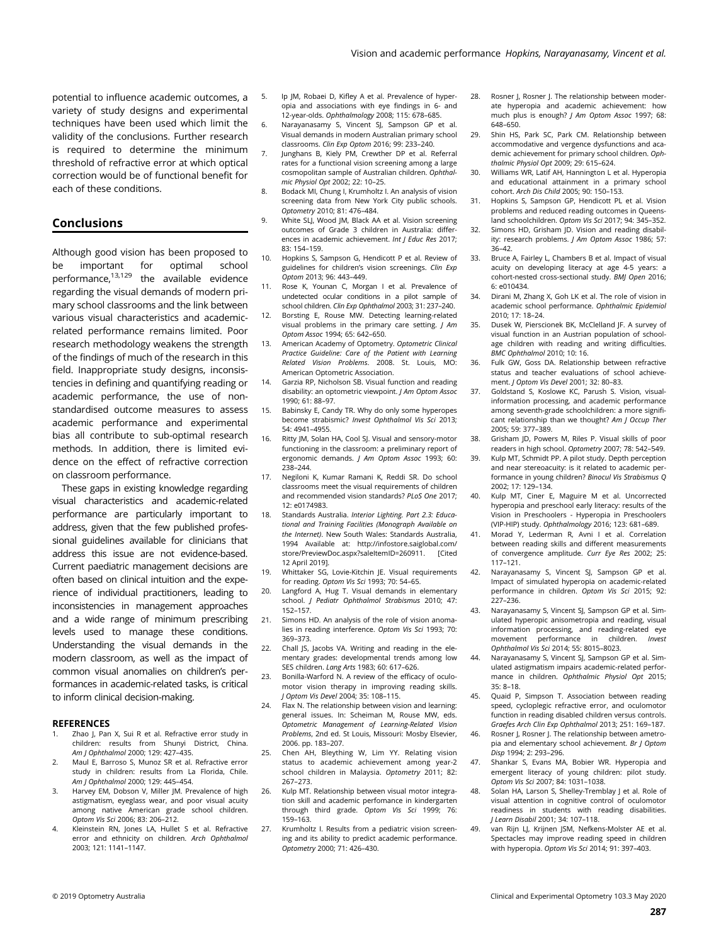potential to influence academic outcomes, a variety of study designs and experimental techniques have been used which limit the validity of the conclusions. Further research is required to determine the minimum threshold of refractive error at which optical correction would be of functional benefit for each of these conditions.

### Conclusions

Although good vision has been proposed to be important for optimal school performance, $13,129$  the available evidence regarding the visual demands of modern primary school classrooms and the link between various visual characteristics and academicrelated performance remains limited. Poor research methodology weakens the strength of the findings of much of the research in this field. Inappropriate study designs, inconsistencies in defining and quantifying reading or academic performance, the use of nonstandardised outcome measures to assess academic performance and experimental bias all contribute to sub-optimal research methods. In addition, there is limited evidence on the effect of refractive correction on classroom performance.

These gaps in existing knowledge regarding visual characteristics and academic-related performance are particularly important to address, given that the few published professional guidelines available for clinicians that address this issue are not evidence-based. Current paediatric management decisions are often based on clinical intuition and the experience of individual practitioners, leading to inconsistencies in management approaches and a wide range of minimum prescribing levels used to manage these conditions. Understanding the visual demands in the modern classroom, as well as the impact of common visual anomalies on children's performances in academic-related tasks, is critical to inform clinical decision-making.

#### **REFERENCES**

- 1. Zhao J, Pan X, Sui R et al. Refractive error study in children: results from Shunyi District, China. Am J Ophthalmol 2000; 129: 427–435.
- 2. Maul E, Barroso S, Munoz SR et al. Refractive error study in children: results from La Florida, Chile. Am J Ophthalmol 2000; 129: 445–454.
- 3. Harvey EM, Dobson V, Miller JM. Prevalence of high astigmatism, eyeglass wear, and poor visual acuity among native American grade school children. Optom Vis Sci 2006; 83: 206–212.
- 4. Kleinstein RN, Jones LA, Hullet S et al. Refractive error and ethnicity on children. Arch Ophthalmol 2003; 121: 1141–1147.
- 5. Ip JM, Robaei D, Kifley A et al. Prevalence of hyperopia and associations with eye findings in 6- and 12-year-olds. Ophthalmology 2008; 115: 678–685.
- 6. Narayanasamy S, Vincent SJ, Sampson GP et al. Visual demands in modern Australian primary school classrooms. Clin Exp Optom 2016; 99: 233–240.
- 7. Junghans B, Kiely PM, Crewther DP et al. Referral rates for a functional vision screening among a large cosmopolitan sample of Australian children. Ophthalmic Physiol Opt 2002; 22: 10–25.
- 8. Bodack MI, Chung I, Krumholtz I. An analysis of vision screening data from New York City public schools. Optometry 2010; 81: 476–484.
- 9. White SLJ, Wood JM, Black AA et al. Vision screening outcomes of Grade 3 children in Australia: differences in academic achievement. Int I Educ Res 2017; 83: 154–159.
- 10. Hopkins S, Sampson G, Hendicott P et al. Review of guidelines for children's vision screenings. Clin Exp Optom 2013; 96: 443–449.
- 11. Rose K, Younan C, Morgan I et al. Prevalence of undetected ocular conditions in a pilot sample of school children. Clin Exp Ophthalmol 2003; 31: 237–240.
- 12. Borsting E, Rouse MW. Detecting learning-related visual problems in the primary care setting.  $I Am$ Optom Assoc 1994; 65: 642–650.
- 13. American Academy of Optometry. Optometric Clinical Practice Guideline: Care of the Patient with Learning Related Vision Problems. 2008. St. Louis, MO: American Optometric Association.
- 14. Garzia RP, Nicholson SB. Visual function and reading disability: an optometric viewpoint. J Am Optom Assoc 1990; 61: 88–97.
- 15. Babinsky E, Candy TR. Why do only some hyperopes become strabismic? Invest Ophthalmol Vis Sci 2013; 54: 4941–4955.
- 16. Ritty JM, Solan HA, Cool SJ. Visual and sensory-motor functioning in the classroom: a preliminary report of ergonomic demands. J Am Optom Assoc 1993; 60: 238–244.
- 17. Negiloni K, Kumar Ramani K, Reddi SR. Do school classrooms meet the visual requirements of children and recommended vision standards? PLoS One 2017; 12: e0174983.
- 18. Standards Australia. Interior Lighting. Part 2.3: Educational and Training Facilities (Monograph Available on the Internet). New South Wales: Standards Australia, 1994 Available at: [http://infostore.saiglobal.com/](http://infostore.saiglobal.com/store/PreviewDoc.aspx?saleItemID=260911) [store/PreviewDoc.aspx?saleItemID=260911.](http://infostore.saiglobal.com/store/PreviewDoc.aspx?saleItemID=260911) 12 April 2019].
- 19. Whittaker SG, Lovie-Kitchin JE. Visual requirements for reading. Optom Vis Sci 1993; 70: 54–65.
- 20. Langford A, Hug T. Visual demands in elementary school. J Pediatr Ophthalmol Strabismus 2010; 47: 152–157.
- 21. Simons HD. An analysis of the role of vision anomalies in reading interference. Optom Vis Sci 1993; 70: 369–373.
- 22. Chall JS, Jacobs VA. Writing and reading in the elementary grades: developmental trends among low SES children. Lang Arts 1983; 60: 617–626.
- 23. Bonilla-Warford N. A review of the efficacy of oculomotor vision therapy in improving reading skills. J Optom Vis Devel 2004; 35: 108–115.
- 24. Flax N. The relationship between vision and learning: general issues. In: Scheiman M, Rouse MW, eds. Optometric Management of Learning-Related Vision Problems, 2nd ed. St Louis, Missouri: Mosby Elsevier, 2006. pp. 183–207.
- 25. Chen AH, Bleything W, Lim YY. Relating vision status to academic achievement among year-2 school children in Malaysia. Optometry 2011; 82: 267–273.
- 26. Kulp MT. Relationship between visual motor integration skill and academic perfomance in kindergarten through third grade. Optom Vis Sci 1999; 76: 159–163.
- 27. Krumholtz I. Results from a pediatric vision screening and its ability to predict academic performance. Optometry 2000; 71: 426–430.
- 28. Rosner J, Rosner J. The relationship between moderate hyperopia and academic achievement: how much plus is enough? J Am Optom Assoc 1997; 68: 648–650.
- 29. Shin HS, Park SC, Park CM. Relationship between accommodative and vergence dysfunctions and academic achievement for primary school children. Ophthalmic Physiol Opt 2009; 29: 615–624.
- 30. Williams WR, Latif AH, Hannington L et al. Hyperopia and educational attainment in a primary school cohort. Arch Dis Child 2005; 90: 150–153.
- 31. Hopkins S, Sampson GP, Hendicott PL et al. Vision problems and reduced reading outcomes in Queensland schoolchildren. Optom Vis Sci 2017; 94: 345–352.
- Simons HD, Grisham JD. Vision and reading disability: research problems. J Am Optom Assoc 1986; 57: 36–42.
- 33. Bruce A, Fairley L, Chambers B et al. Impact of visual acuity on developing literacy at age 4-5 years: a cohort-nested cross-sectional study. BMJ Open 2016; 6: e010434.
- 34. Dirani M, Zhang X, Goh LK et al. The role of vision in academic school performance. Ophthalmic Epidemiol 2010; 17: 18–24.
- 35. Dusek W, Pierscionek BK, McClelland JF. A survey of visual function in an Austrian population of schoolage children with reading and writing difficulties. BMC Ophthalmol 2010; 10: 16.
- 36. Fulk GW, Goss DA. Relationship between refractive status and teacher evaluations of school achievement. J Optom Vis Devel 2001; 32: 80–83.
- 37. Goldstand S, Koslowe KC, Parush S. Vision, visualinformation processing, and academic performance among seventh-grade schoolchildren: a more significant relationship than we thought? Am J Occup Ther 2005; 59: 377–389.
- 38. Grisham JD, Powers M, Riles P. Visual skills of poor readers in high school. Optometry 2007; 78: 542–549.
- 39. Kulp MT, Schmidt PP. A pilot study. Depth perception and near stereoacuity: is it related to academic performance in young children? Binocul Vis Strabismus Q 2002; 17: 129–134.
- 40. Kulp MT, Ciner E, Maguire M et al. Uncorrected hyperopia and preschool early literacy: results of the Vision in Preschoolers - Hyperopia in Preschoolers (VIP-HIP) study. Ophthalmology 2016; 123: 681–689.
- 41. Morad Y, Lederman R, Avni I et al. Correlation between reading skills and different measurements of convergence amplitude. Curr Eye Res 2002; 25: 117–121.
- Narayanasamy S, Vincent SJ, Sampson GP et al. Impact of simulated hyperopia on academic-related performance in children. Optom Vis Sci 2015; 92: 227–236.
- 43. Narayanasamy S, Vincent SJ, Sampson GP et al. Simulated hyperopic anisometropia and reading, visual information processing, and reading-related eye movement performance in children. Invest Ophthalmol Vis Sci 2014; 55: 8015–8023.
- Narayanasamy S, Vincent SJ, Sampson GP et al. Simulated astigmatism impairs academic-related performance in children. Ophthalmic Physiol Opt 2015; 35: 8–18.
- 45. Quaid P, Simpson T. Association between reading speed, cycloplegic refractive error, and oculomotor function in reading disabled children versus controls. Graefes Arch Clin Exp Ophthalmol 2013; 251: 169–187.
- 46. Rosner J, Rosner J. The relationship between ametropia and elementary school achievement. Br J Optom Disp 1994; 2: 293–296.
- 47. Shankar S, Evans MA, Bobier WR. Hyperopia and emergent literacy of young children: pilot study. Optom Vis Sci 2007; 84: 1031–1038.
- 48. Solan HA, Larson S, Shelley-Tremblay J et al. Role of visual attention in cognitive control of oculomotor readiness in students with reading disabilities. J Learn Disabil 2001; 34: 107–118.
- 49. van Rijn LJ, Krijnen JSM, Nefkens-Molster AE et al. Spectacles may improve reading speed in children with hyperopia. Optom Vis Sci 2014; 91: 397–403.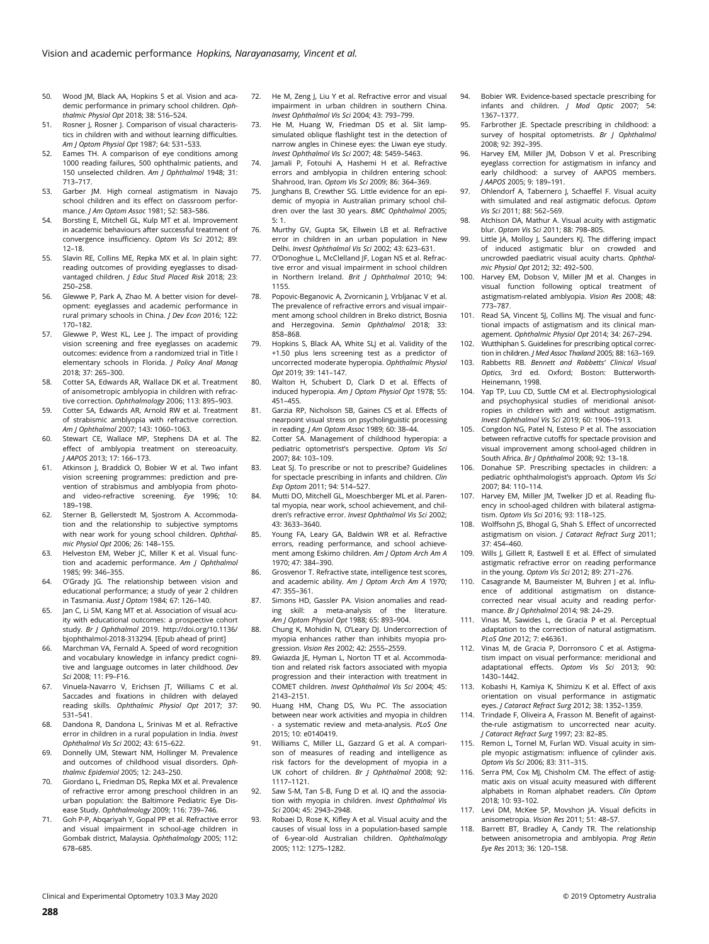- 50. Wood JM, Black AA, Hopkins S et al. Vision and academic performance in primary school children. Ophthalmic Physiol Opt 2018; 38: 516–524.
- 51. Rosner J, Rosner J. Comparison of visual characteristics in children with and without learning difficulties. Am J Optom Physiol Opt 1987; 64: 531–533.
- 52. Eames TH. A comparison of eye conditions among 1000 reading failures, 500 ophthalmic patients, and 150 unselected children. Am J Ophthalmol 1948; 31: 713–717.
- 53. Garber JM. High corneal astigmatism in Navajo school children and its effect on classroom performance. J Am Optom Assoc 1981; 52: 583–586.
- 54. Borsting E, Mitchell GL, Kulp MT et al. Improvement in academic behaviours after successful treatment of convergence insufficiency. Optom Vis Sci 2012; 89: 12–18.
- 55. Slavin RE, Collins ME, Repka MX et al. In plain sight: reading outcomes of providing eyeglasses to disadvantaged children. J Educ Stud Placed Risk 2018; 23: 250–258.
- 56. Glewwe P, Park A, Zhao M. A better vision for development: eyeglasses and academic performance in rural primary schools in China. J Dev Econ 2016; 122: 170–182.
- 57. Glewwe P, West KL, Lee J. The impact of providing vision screening and free eyeglasses on academic outcomes: evidence from a randomized trial in Title I elementary schools in Florida. J Policy Anal Manag 2018; 37: 265–300.
- 58. Cotter SA, Edwards AR, Wallace DK et al. Treatment of anisometropic amblyopia in children with refractive correction. Ophthalmology 2006; 113: 895–903.
- 59. Cotter SA, Edwards AR, Arnold RW et al. Treatment of strabismic amblyopia with refractive correction. Am J Ophthalmol 2007; 143: 1060–1063.
- 60. Stewart CE, Wallace MP, Stephens DA et al. The effect of amblyopia treatment on stereoacuity. J AAPOS 2013; 17: 166–173.
- 61. Atkinson J, Braddick O, Bobier W et al. Two infant vision screening programmes: prediction and prevention of strabismus and amblyopia from photoand video-refractive screening. Eye 1996; 10: 189–198.
- 62. Sterner B, Gellerstedt M, Sjostrom A. Accommodation and the relationship to subjective symptoms with near work for young school children. Ophthalmic Physiol Opt 2006; 26: 148–155.
- 63. Helveston EM, Weber JC, Miller K et al. Visual function and academic performance. Am J Ophthalmol 1985; 99: 346–355.
- 64. O'Grady JG. The relationship between vision and educational performance; a study of year 2 children in Tasmania. Aust J Optom 1984; 67: 126–140.
- 65. Jan C, Li SM, Kang MT et al. Association of visual acuity with educational outcomes: a prospective cohort study. Br J Ophthalmol 2019. [http://doi.org/10.1136/](http://doi.org/10.1136/bjophthalmol-2018-313294) [bjophthalmol-2018-313294](http://doi.org/10.1136/bjophthalmol-2018-313294). [Epub ahead of print]
- Marchman VA, Fernald A. Speed of word recognition and vocabulary knowledge in infancy predict cognitive and language outcomes in later childhood. Dev Sci 2008; 11: F9–F16.
- 67. Vinuela-Navarro V, Erichsen JT, Williams C et al. Saccades and fixations in children with delayed reading skills. Ophthalmic Physiol Opt 2017; 37: 531–541.
- 68. Dandona R, Dandona L, Srinivas M et al. Refractive error in children in a rural population in India. Invest Ophthalmol Vis Sci 2002; 43: 615–622.
- 69. Donnelly UM, Stewart NM, Hollinger M. Prevalence and outcomes of childhood visual disorders. Ophthalmic Epidemiol 2005; 12: 243–250.
- 70. Giordano L, Friedman DS, Repka MX et al. Prevalence of refractive error among preschool children in an urban population: the Baltimore Pediatric Eye Disease Study. Ophthalmology 2009; 116: 739–746.
- 71. Goh P-P, Abqariyah Y, Gopal PP et al. Refractive error and visual impairment in school-age children in Gombak district, Malaysia. Ophthalmology 2005; 112: 678–685.
- 72. He M, Zeng J, Liu Y et al. Refractive error and visual impairment in urban children in southern China. Invest Ophthalmol Vis Sci 2004; 43: 793–799.
- 73. He M, Huang W, Friedman DS et al. Slit lampsimulated oblique flashlight test in the detection of narrow angles in Chinese eyes: the Liwan eye study. Invest Ophthalmol Vis Sci 2007; 48: 5459–5463.
- 74. Jamali P, Fotouhi A, Hashemi H et al. Refractive errors and amblyopia in children entering school: Shahrood, Iran. Optom Vis Sci 2009; 86: 364–369.
- 75. Junghans B, Crewther SG. Little evidence for an epidemic of myopia in Australian primary school children over the last 30 years. BMC Ophthalmol 2005; 5: 1.
- 76. Murthy GV, Gupta SK, Ellwein LB et al. Refractive error in children in an urban population in New Delhi. Invest Ophthalmol Vis Sci 2002; 43: 623–631.
- 77. O'Donoghue L, McClelland JF, Logan NS et al. Refractive error and visual impairment in school children in Northern Ireland. Brit J Ophthalmol 2010; 94: 1155.
- 78. Popovic-Beganovic A, Zvornicanin J, Vrbljanac V et al. The prevalence of refractive errors and visual impairment among school children in Breko district, Bosnia and Herzegovina. Semin Ophthalmol 2018; 33: 858–868.
- 79. Hopkins S, Black AA, White SLJ et al. Validity of the +1.50 plus lens screening test as a predictor of uncorrected moderate hyperopia. Ophthalmic Physiol Opt 2019; 39: 141–147.
- 80. Walton H, Schubert D, Clark D et al. Effects of induced hyperopia. Am J Optom Physiol Opt 1978; 55: 451–455.
- 81. Garzia RP, Nicholson SB, Gaines CS et al. Effects of nearpoint visual stress on psycholinguistic processing in reading. J Am Optom Assoc 1989; 60: 38–44.
- 82. Cotter SA. Management of childhood hyperopia: a pediatric optometrist's perspective. Optom Vis Sci 2007; 84: 103–109.
- 83. Leat SJ. To prescribe or not to prescribe? Guidelines for spectacle prescribing in infants and children. Clin Exp Optom 2011; 94: 514–527.
- 84. Mutti DO, Mitchell GL, Moeschberger ML et al. Parental myopia, near work, school achievement, and children's refractive error. Invest Ophthalmol Vis Sci 2002; 43: 3633–3640.
- 85. Young FA, Leary GA, Baldwin WR et al. Refractive errors, reading performance, and school achievement among Eskimo children. Am J Optom Arch Am A 1970; 47: 384–390.
- 86. Grosvenor T. Refractive state, intelligence test scores, and academic ability. Am J Optom Arch Am A 1970; 47: 355–361.
- Simons HD, Gassler PA. Vision anomalies and reading skill: a meta-analysis of the literature. Am J Optom Physiol Opt 1988; 65: 893–904.
- 88. Chung K, Mohidin N, O'Leary DJ. Undercorrection of myopia enhances rather than inhibits myopia progression. Vision Res 2002; 42: 2555–2559.
- 89. Gwiazda JE, Hyman L, Norton TT et al. Accommodation and related risk factors associated with myopia progression and their interaction with treatment in COMET children. Invest Ophthalmol Vis Sci 2004; 45: 2143–2151.
- 90. Huang HM, Chang DS, Wu PC. The association between near work activities and myopia in children - a systematic review and meta-analysis. PLoS One 2015; 10: e0140419.
- 91. Williams C, Miller LL, Gazzard G et al. A comparison of measures of reading and intelligence as risk factors for the development of myopia in a UK cohort of children. Br J Ophthalmol 2008; 92: 1117–1121.
- 92. Saw S-M, Tan S-B, Fung D et al. IQ and the association with myopia in children. Invest Ophthalmol Vis Sci 2004; 45: 2943–2948.
- 93. Robaei D, Rose K, Kifley A et al. Visual acuity and the causes of visual loss in a population-based sample of 6-year-old Australian children. Ophthalmology 2005; 112: 1275–1282.
- 94. Bobier WR. Evidence-based spectacle prescribing for infants and children. J Mod Optic 2007; 54: 1367–1377.
- 95. Farbrother JE. Spectacle prescribing in childhood: a survey of hospital optometrists. Br J Ophthalmol 2008; 92: 392–395.
- 96. Harvey EM, Miller JM, Dobson V et al. Prescribing eyeglass correction for astigmatism in infancy and early childhood: a survey of AAPOS members. J AAPOS 2005; 9: 189–191.
- 97. Ohlendorf A, Tabernero J, Schaeffel F. Visual acuity with simulated and real astigmatic defocus. Optom Vis Sci 2011; 88: 562–569.
- Atchison DA, Mathur A. Visual acuity with astigmatic blur. Optom Vis Sci 2011; 88: 798–805.
- 99. Little JA, Molloy J, Saunders KJ. The differing impact of induced astigmatic blur on crowded and uncrowded paediatric visual acuity charts. Ophthalmic Physiol Opt 2012; 32: 492–500.
- 100. Harvey EM, Dobson V, Miller JM et al. Changes in visual function following optical treatment of astigmatism-related amblyopia. Vision Res 2008; 48: 773–787.
- 101. Read SA, Vincent SI, Collins MI. The visual and functional impacts of astigmatism and its clinical management. Ophthalmic Physiol Opt 2014; 34: 267–294.
- 102. Wutthiphan S. Guidelines for prescribing optical correction in children. J Med Assoc Thailand 2005; 88: 163–169. 103. Rabbetts RB. Bennett and Rabbetts' Clinical Visual
- Optics, 3rd ed. Oxford; Boston: Butterworth-Heinemann, 1998.
- 104. Yap TP, Luu CD, Suttle CM et al. Electrophysiological and psychophysical studies of meridional anisotropies in children with and without astigmatism. Invest Ophthalmol Vis Sci 2019; 60: 1906–1913.
- 105. Congdon NG, Patel N, Esteso P et al. The association between refractive cutoffs for spectacle provision and visual improvement among school-aged children in South Africa. Br J Ophthalmol 2008; 92: 13–18.
- 106. Donahue SP. Prescribing spectacles in children: a pediatric ophthalmologist's approach. Optom Vis Sci 2007; 84: 110–114.
- Harvey EM, Miller JM, Twelker JD et al. Reading fluency in school-aged children with bilateral astigmatism. Optom Vis Sci 2016; 93: 118–125.
- 108. Wolffsohn JS, Bhogal G, Shah S. Effect of uncorrected astigmatism on vision. J Cataract Refract Surg 2011; 37: 454–460.
- 109. Wills I, Gillett R, Eastwell E et al. Effect of simulated astigmatic refractive error on reading performance in the young. Optom Vis Sci 2012; 89: 271–276.
- 110. Casagrande M, Baumeister M, Buhren J et al. Influence of additional astigmatism on distancecorrected near visual acuity and reading performance. Br J Ophthalmol 2014; 98: 24–29.
- 111. Vinas M, Sawides L, de Gracia P et al. Perceptual adaptation to the correction of natural astigmatism. PLoS One 2012; 7: e46361.
- 112. Vinas M, de Gracia P, Dorronsoro C et al. Astigmatism impact on visual performance: meridional and adaptational effects. Optom Vis Sci 2013; 90: 1430–1442.
- 113. Kobashi H, Kamiya K, Shimizu K et al. Effect of axis orientation on visual performance in astigmatic eyes. J Cataract Refract Surg 2012; 38: 1352–1359.
- 114. Trindade F, Oliveira A, Frasson M. Benefit of againstthe-rule astigmatism to uncorrected near acuity. J Cataract Refract Surg 1997; 23: 82–85.
- 115. Remon L, Tornel M, Furlan WD. Visual acuity in simple myopic astigmatism: influence of cylinder axis. Optom Vis Sci 2006; 83: 311–315.
- 116. Serra PM, Cox MJ, Chisholm CM. The effect of astigmatic axis on visual acuity measured with different alphabets in Roman alphabet readers. Clin Optom 2018; 10: 93–102.
- 117. Levi DM, McKee SP, Movshon JA. Visual deficits in anisometropia. Vision Res 2011; 51: 48–57.
- 118. Barrett BT, Bradley A, Candy TR. The relationship between anisometropia and amblyopia. Prog Retin Eye Res 2013; 36: 120–158.